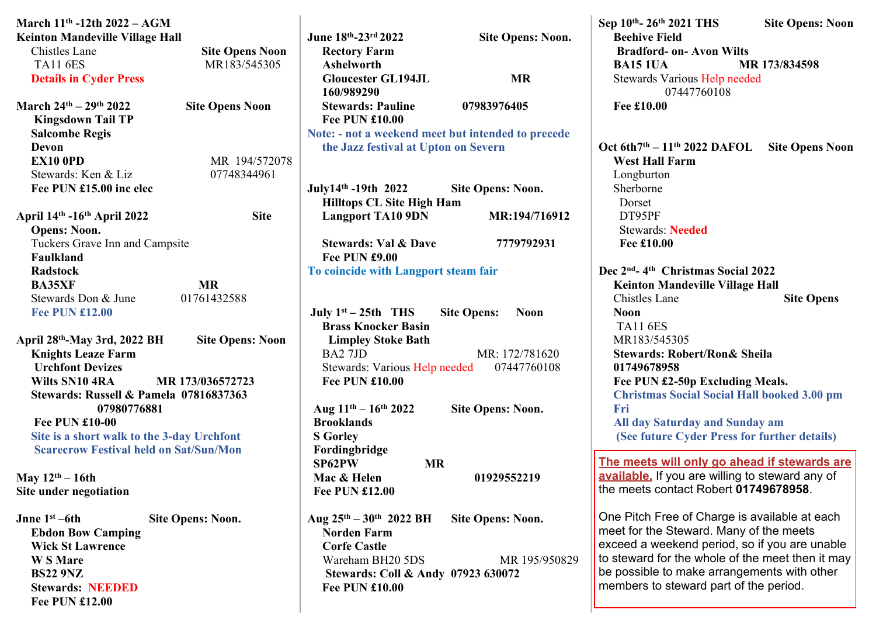| March $11^{th}$ -12th $2022 - AGM$                       |                         |                                      |                                                    | Sep 10th- 26th 2021 THS<br><b>Site Opens: Noon</b>         |
|----------------------------------------------------------|-------------------------|--------------------------------------|----------------------------------------------------|------------------------------------------------------------|
| <b>Keinton Mandeville Village Hall</b>                   |                         | June 18th-23rd 2022                  | <b>Site Opens: Noon.</b>                           | <b>Beehive Field</b>                                       |
| Chistles Lane                                            | <b>Site Opens Noon</b>  | <b>Rectory Farm</b>                  |                                                    | <b>Bradford- on- Avon Wilts</b>                            |
| <b>TA11 6ES</b>                                          | MR183/545305            | <b>Ashelworth</b>                    |                                                    | <b>BA15 1UA</b><br>MR 173/834598                           |
| <b>Details in Cyder Press</b>                            |                         | <b>Gloucester GL194JL</b>            | <b>MR</b>                                          | Stewards Various Help needed                               |
|                                                          |                         | 160/989290                           |                                                    | 07447760108                                                |
| March $24^{th} - 29^{th}$ 2022<br><b>Site Opens Noon</b> |                         | <b>Stewards: Pauline</b>             | 07983976405                                        | Fee £10.00                                                 |
| <b>Kingsdown Tail TP</b>                                 |                         | <b>Fee PUN £10.00</b>                |                                                    |                                                            |
| <b>Salcombe Regis</b>                                    |                         |                                      | Note: - not a weekend meet but intended to precede |                                                            |
| Devon                                                    |                         | the Jazz festival at Upton on Severn |                                                    | Oct 6th $7th - 11th$ 2022 DAFOL<br><b>Site Opens Noon</b>  |
| <b>EX10 0PD</b>                                          | MR 194/572078           |                                      |                                                    | <b>West Hall Farm</b>                                      |
| Stewards: Ken & Liz                                      | 07748344961             |                                      |                                                    | Longburton                                                 |
| Fee PUN £15.00 inc elec                                  |                         | July14th -19th 2022                  | <b>Site Opens: Noon.</b>                           | Sherborne                                                  |
|                                                          |                         | <b>Hilltops CL Site High Ham</b>     |                                                    | Dorset                                                     |
| April 14th -16th April 2022                              | <b>Site</b>             | <b>Langport TA10 9DN</b>             | MR:194/716912                                      | DT95PF                                                     |
| <b>Opens: Noon.</b>                                      |                         |                                      |                                                    | <b>Stewards: Needed</b>                                    |
| Tuckers Grave Inn and Campsite                           |                         | <b>Stewards: Val &amp; Dave</b>      | 7779792931                                         | Fee £10.00                                                 |
| Faulkland                                                |                         | <b>Fee PUN £9.00</b>                 |                                                    |                                                            |
| <b>Radstock</b>                                          |                         | To coincide with Langport steam fair |                                                    | Dec 2 <sup>nd</sup> -4 <sup>th</sup> Christmas Social 2022 |
| <b>MR</b><br><b>BA35XF</b>                               |                         |                                      |                                                    | <b>Keinton Mandeville Village Hall</b>                     |
| 01761432588<br>Stewards Don & June                       |                         |                                      |                                                    | Chistles Lane<br><b>Site Opens</b>                         |
| <b>Fee PUN £12.00</b>                                    |                         | July $1^{st} - 25th$ THS             | <b>Site Opens:</b><br><b>Noon</b>                  | <b>Noon</b>                                                |
|                                                          |                         | <b>Brass Knocker Basin</b>           |                                                    | <b>TA11 6ES</b>                                            |
| April 28th-May 3rd, 2022 BH                              | <b>Site Opens: Noon</b> | <b>Limpley Stoke Bath</b>            |                                                    | MR183/545305                                               |
| <b>Knights Leaze Farm</b>                                |                         | BA2 7JD                              | MR: 172/781620                                     | <b>Stewards: Robert/Ron&amp; Sheila</b>                    |
| <b>Urchfont Devizes</b>                                  |                         | Stewards: Various Help needed        | 07447760108                                        | 01749678958                                                |
| Wilts SN10 4RA<br>MR 173/036572723                       |                         | <b>Fee PUN £10.00</b>                |                                                    | Fee PUN £2-50p Excluding Meals.                            |
| Stewards: Russell & Pamela 07816837363                   |                         |                                      |                                                    | <b>Christmas Social Social Hall booked 3.00 pm</b>         |
| 07980776881                                              |                         | Aug $11^{th} - 16^{th} 2022$         | <b>Site Opens: Noon.</b>                           | Fri                                                        |
| <b>Fee PUN £10-00</b>                                    |                         | <b>Brooklands</b>                    |                                                    | All day Saturday and Sunday am                             |
| Site is a short walk to the 3-day Urchfont               |                         | <b>S</b> Gorley                      |                                                    | (See future Cyder Press for further details)               |
| <b>Scarecrow Festival held on Sat/Sun/Mon</b>            |                         | Fordingbridge                        |                                                    |                                                            |
|                                                          |                         | SP62PW<br><b>MR</b>                  |                                                    | The meets will only go ahead if stewards are               |
| May $12th - 16th$                                        |                         | Mac & Helen                          | 01929552219                                        | available. If you are willing to steward any of            |
| Site under negotiation                                   |                         | <b>Fee PUN £12.00</b>                |                                                    | the meets contact Robert 01749678958.                      |
|                                                          |                         |                                      |                                                    |                                                            |
| Jnne $1st - 6th$<br><b>Site Opens: Noon.</b>             |                         | Aug $25^{th} - 30^{th}$ 2022 BH      | <b>Site Opens: Noon.</b>                           | One Pitch Free of Charge is available at each              |
| <b>Ebdon Bow Camping</b>                                 |                         | <b>Norden Farm</b>                   |                                                    | meet for the Steward. Many of the meets                    |
| <b>Wick St Lawrence</b>                                  |                         | <b>Corfe Castle</b>                  |                                                    | exceed a weekend period, so if you are unable              |
| <b>WS</b> Mare                                           |                         | Wareham BH20 5DS                     | MR 195/950829                                      | to steward for the whole of the meet then it may           |
| <b>BS22 9NZ</b>                                          |                         | Stewards: Coll & Andy 07923 630072   |                                                    | be possible to make arrangements with other                |
| <b>Stewards: NEEDED</b>                                  |                         | <b>Fee PUN £10.00</b>                |                                                    | members to steward part of the period.                     |
| <b>Fee PUN £12.00</b>                                    |                         |                                      |                                                    |                                                            |
|                                                          |                         |                                      |                                                    |                                                            |